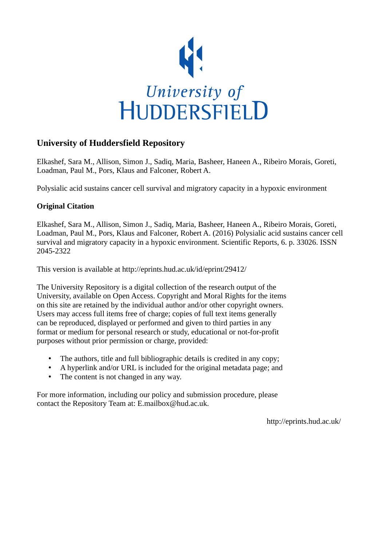

# **University of Huddersfield Repository**

Elkashef, Sara M., Allison, Simon J., Sadiq, Maria, Basheer, Haneen A., Ribeiro Morais, Goreti, Loadman, Paul M., Pors, Klaus and Falconer, Robert A.

Polysialic acid sustains cancer cell survival and migratory capacity in a hypoxic environment

## **Original Citation**

Elkashef, Sara M., Allison, Simon J., Sadiq, Maria, Basheer, Haneen A., Ribeiro Morais, Goreti, Loadman, Paul M., Pors, Klaus and Falconer, Robert A. (2016) Polysialic acid sustains cancer cell survival and migratory capacity in a hypoxic environment. Scientific Reports, 6. p. 33026. ISSN 2045-2322

This version is available at http://eprints.hud.ac.uk/id/eprint/29412/

The University Repository is a digital collection of the research output of the University, available on Open Access. Copyright and Moral Rights for the items on this site are retained by the individual author and/or other copyright owners. Users may access full items free of charge; copies of full text items generally can be reproduced, displayed or performed and given to third parties in any format or medium for personal research or study, educational or not-for-profit purposes without prior permission or charge, provided:

- The authors, title and full bibliographic details is credited in any copy;
- A hyperlink and/or URL is included for the original metadata page; and
- The content is not changed in any way.

For more information, including our policy and submission procedure, please contact the Repository Team at: E.mailbox@hud.ac.uk.

http://eprints.hud.ac.uk/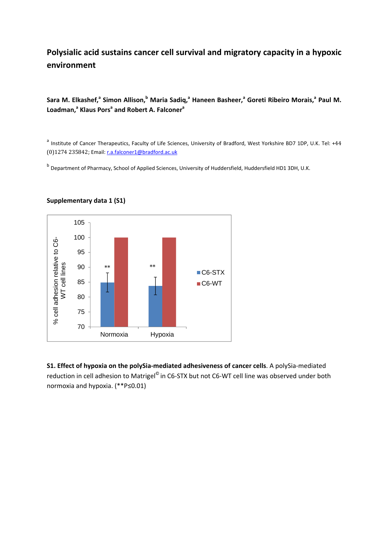# **Polysialic acid sustains cancer cell survival and migratory capacity in a hypoxic environment**

**Sara** M. Elkashef,<sup>a</sup> Simon Allison,<sup>b</sup> Maria Sadiq,<sup>a</sup> Haneen Basheer,<sup>a</sup> Goreti Ribeiro Morais,<sup>a</sup> Paul M. Loadman,<sup>a</sup> Klaus Pors<sup>a</sup> and Robert A. Falconer<sup>a</sup>

<sup>a</sup> Institute of Cancer Therapeutics, Faculty of Life Sciences, University of Bradford, West Yorkshire BD7 1DP, U.K. Tel: +44 (0)1274 235842; Email: r.a.falconer1@bradford.ac.uk

b Department of Pharmacy, School of Applied Sciences, University of Huddersfield, Huddersfield HD1 3DH, U.K.



#### **Supplementary data 1 (S1)**

**S1. Effect of hypoxia on the polySia‐mediated adhesiveness of cancer cells**. A polySia‐mediated reduction in cell adhesion to Matrigel<sup>©</sup> in C6-STX but not C6-WT cell line was observed under both normoxia and hypoxia. (\*\*P≤0.01)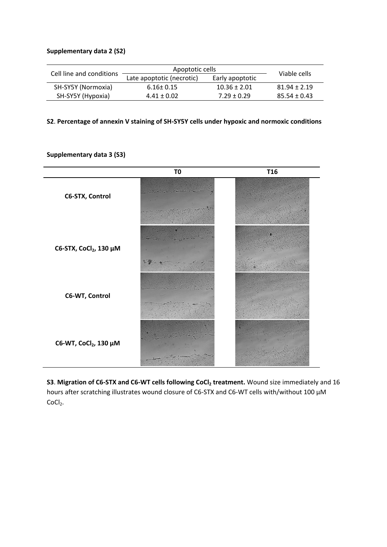#### **Supplementary data 2 (S2)**

| Cell line and conditions | Apoptotic cells           |                  | Viable cells     |
|--------------------------|---------------------------|------------------|------------------|
|                          | Late apoptotic (necrotic) | Early apoptotic  |                  |
| SH-SY5Y (Normoxia)       | $6.16 \pm 0.15$           | $10.36 \pm 2.01$ | $81.94 \pm 2.19$ |
| SH-SY5Y (Hypoxia)        | $4.41 \pm 0.02$           | $7.29 + 0.29$    | $85.54 + 0.43$   |

## **S2**. **Percentage of annexin V staining of SH‐SY5Y cells under hypoxic and normoxic conditions**

|                                    | T <sub>0</sub> | <b>T16</b> |
|------------------------------------|----------------|------------|
| C6-STX, Control                    |                |            |
| C6-STX, CoCl <sub>2</sub> , 130 μM |                |            |
| C6-WT, Control                     |                |            |
| C6-WT, CoCl <sub>2</sub> , 130 μM  |                |            |

#### **Supplementary data 3 (S3)**

**S3**. **Migration of C6‐STX and C6‐WT cells following CoCl2 treatment.** Wound size immediately and 16 hours after scratching illustrates wound closure of C6-STX and C6-WT cells with/without 100  $\mu$ M CoCl<sub>2</sub>.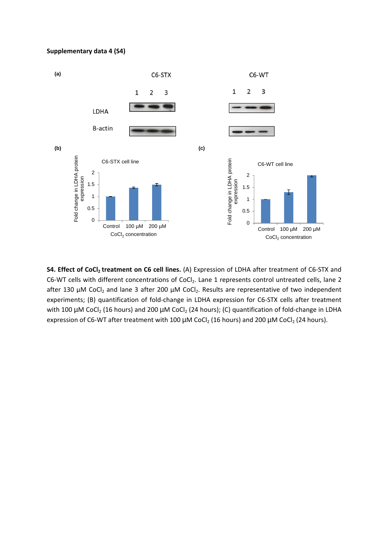#### **Supplementary data 4 (S4)**



**S4. Effect of CoCl<sub>2</sub> treatment on C6 cell lines.** (A) Expression of LDHA after treatment of C6-STX and C6-WT cells with different concentrations of CoCl<sub>2</sub>. Lane 1 represents control untreated cells, lane 2 after 130  $\mu$ M CoCl<sub>2</sub> and lane 3 after 200  $\mu$ M CoCl<sub>2</sub>. Results are representative of two independent experiments; (B) quantification of fold‐change in LDHA expression for C6‐STX cells after treatment with 100  $\mu$ M CoCl<sub>2</sub> (16 hours) and 200  $\mu$ M CoCl<sub>2</sub> (24 hours); (C) quantification of fold-change in LDHA expression of C6-WT after treatment with 100  $\mu$ M CoCl<sub>2</sub> (16 hours) and 200  $\mu$ M CoCl<sub>2</sub> (24 hours).